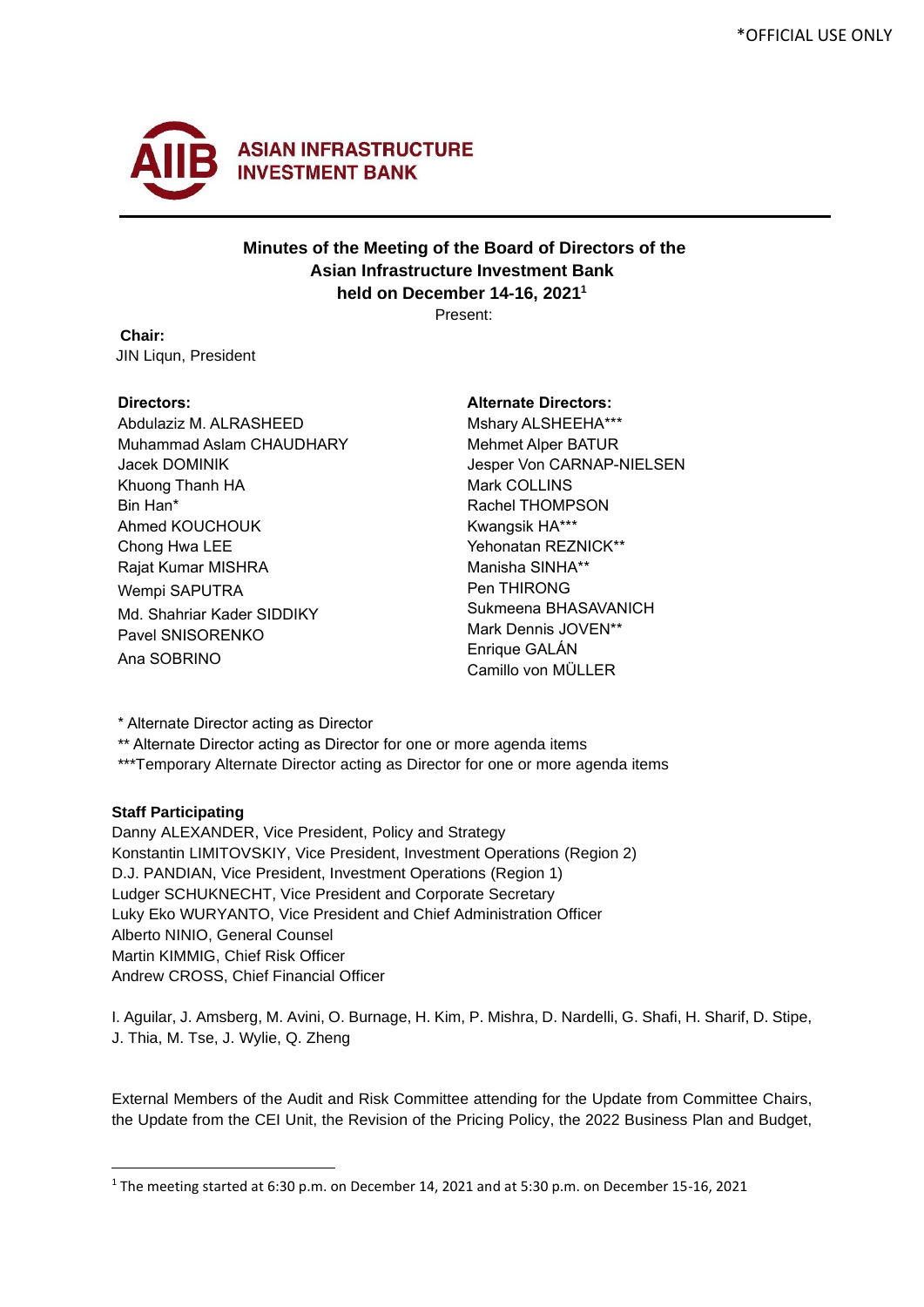

# **Minutes of the Meeting of the Board of Directors of the Asian Infrastructure Investment Bank held on December 14-16, 2021<sup>1</sup>**

Present:

 **Chair:** JIN Liqun, President

#### **Directors:**

Abdulaziz M. ALRASHEED Muhammad Aslam CHAUDHARY Jacek DOMINIK Khuong Thanh HA Bin Han\* Ahmed KOUCHOUK Chong Hwa LEE Rajat Kumar MISHRA Wempi SAPUTRA Md. Shahriar Kader SIDDIKY Pavel SNISORENKO Ana SOBRINO

#### **Alternate Directors:**

Mshary ALSHEEHA\*\*\* Mehmet Alper BATUR Jesper Von CARNAP-NIELSEN Mark COLLINS Rachel THOMPSON Kwangsik HA\*\*\* Yehonatan REZNICK\*\* Manisha SINHA\*\* Pen THIRONG Sukmeena BHASAVANICH Mark Dennis JOVEN\*\* Enrique GALÁN Camillo von MÜLLER

\* Alternate Director acting as Director

\*\* Alternate Director acting as Director for one or more agenda items

\*\*\*Temporary Alternate Director acting as Director for one or more agenda items

### **Staff Participating**

Danny ALEXANDER, Vice President, Policy and Strategy Konstantin LIMITOVSKIY, Vice President, Investment Operations (Region 2) D.J. PANDIAN, Vice President, Investment Operations (Region 1) Ludger SCHUKNECHT, Vice President and Corporate Secretary Luky Eko WURYANTO, Vice President and Chief Administration Officer Alberto NINIO, General Counsel Martin KIMMIG, Chief Risk Officer Andrew CROSS, Chief Financial Officer

I. Aguilar, J. Amsberg, M. Avini, O. Burnage, H. Kim, P. Mishra, D. Nardelli, G. Shafi, H. Sharif, D. Stipe, J. Thia, M. Tse, J. Wylie, Q. Zheng

External Members of the Audit and Risk Committee attending for the Update from Committee Chairs, the Update from the CEI Unit, the Revision of the Pricing Policy, the 2022 Business Plan and Budget,

<sup>1</sup> The meeting started at 6:30 p.m. on December 14, 2021 and at 5:30 p.m. on December 15-16, 2021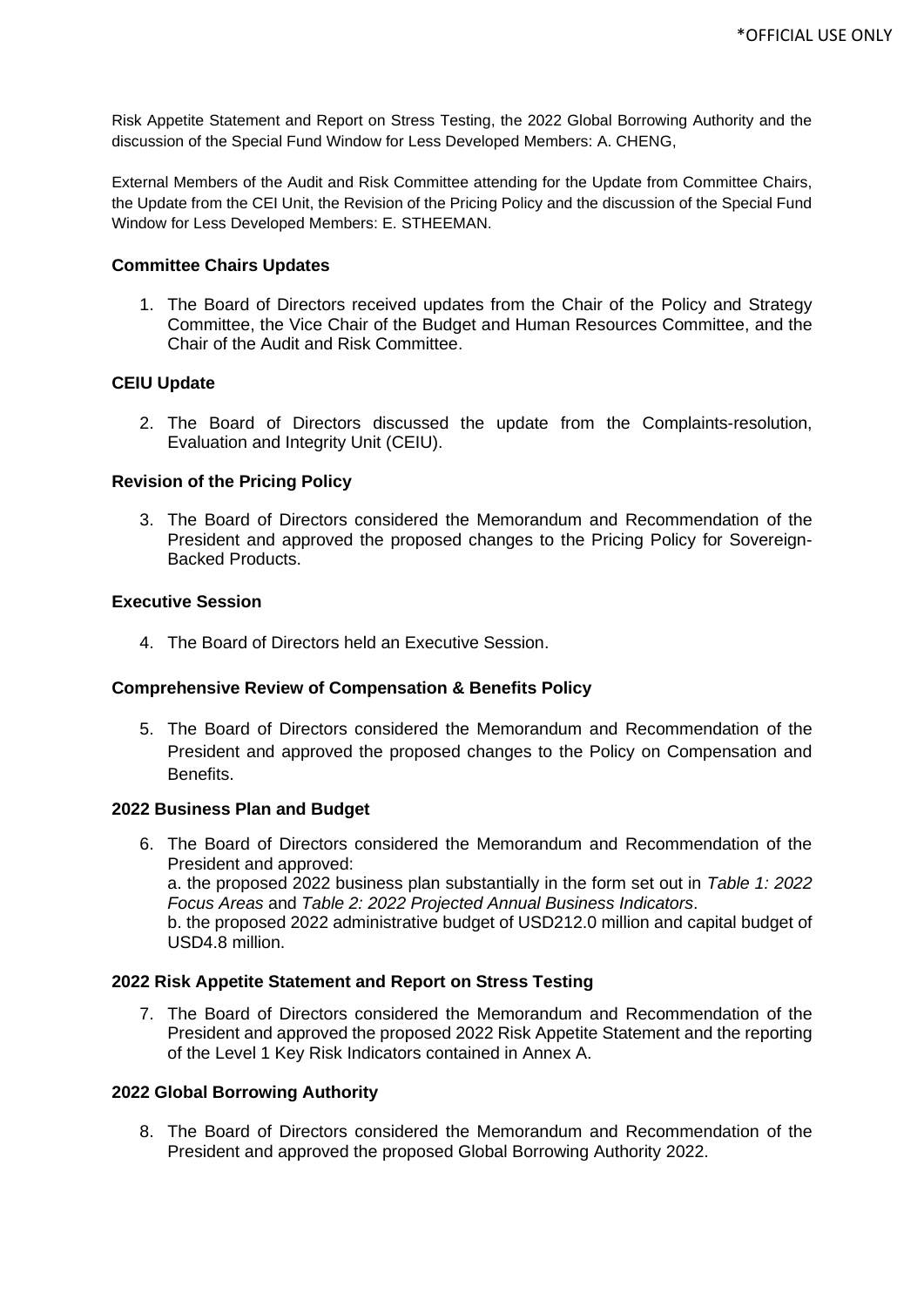Risk Appetite Statement and Report on Stress Testing, the 2022 Global Borrowing Authority and the discussion of the Special Fund Window for Less Developed Members: A. CHENG,

External Members of the Audit and Risk Committee attending for the Update from Committee Chairs, the Update from the CEI Unit, the Revision of the Pricing Policy and the discussion of the Special Fund Window for Less Developed Members: E. STHEEMAN.

#### **Committee Chairs Updates**

1. The Board of Directors received updates from the Chair of the Policy and Strategy Committee, the Vice Chair of the Budget and Human Resources Committee, and the Chair of the Audit and Risk Committee.

#### **CEIU Update**

2. The Board of Directors discussed the update from the Complaints-resolution, Evaluation and Integrity Unit (CEIU).

#### **Revision of the Pricing Policy**

3. The Board of Directors considered the Memorandum and Recommendation of the President and approved the proposed changes to the Pricing Policy for Sovereign-Backed Products.

#### **Executive Session**

4. The Board of Directors held an Executive Session.

### **Comprehensive Review of Compensation & Benefits Policy**

5. The Board of Directors considered the Memorandum and Recommendation of the President and approved the proposed changes to the Policy on Compensation and Benefits.

#### **2022 Business Plan and Budget**

6. The Board of Directors considered the Memorandum and Recommendation of the President and approved: a. the proposed 2022 business plan substantially in the form set out in *Table 1: 2022 Focus Areas* and *Table 2: 2022 Projected Annual Business Indicators*. b. the proposed 2022 administrative budget of USD212.0 million and capital budget of USD4.8 million.

### **2022 Risk Appetite Statement and Report on Stress Testing**

7. The Board of Directors considered the Memorandum and Recommendation of the President and approved the proposed 2022 Risk Appetite Statement and the reporting of the Level 1 Key Risk Indicators contained in Annex A.

#### **2022 Global Borrowing Authority**

8. The Board of Directors considered the Memorandum and Recommendation of the President and approved the proposed Global Borrowing Authority 2022.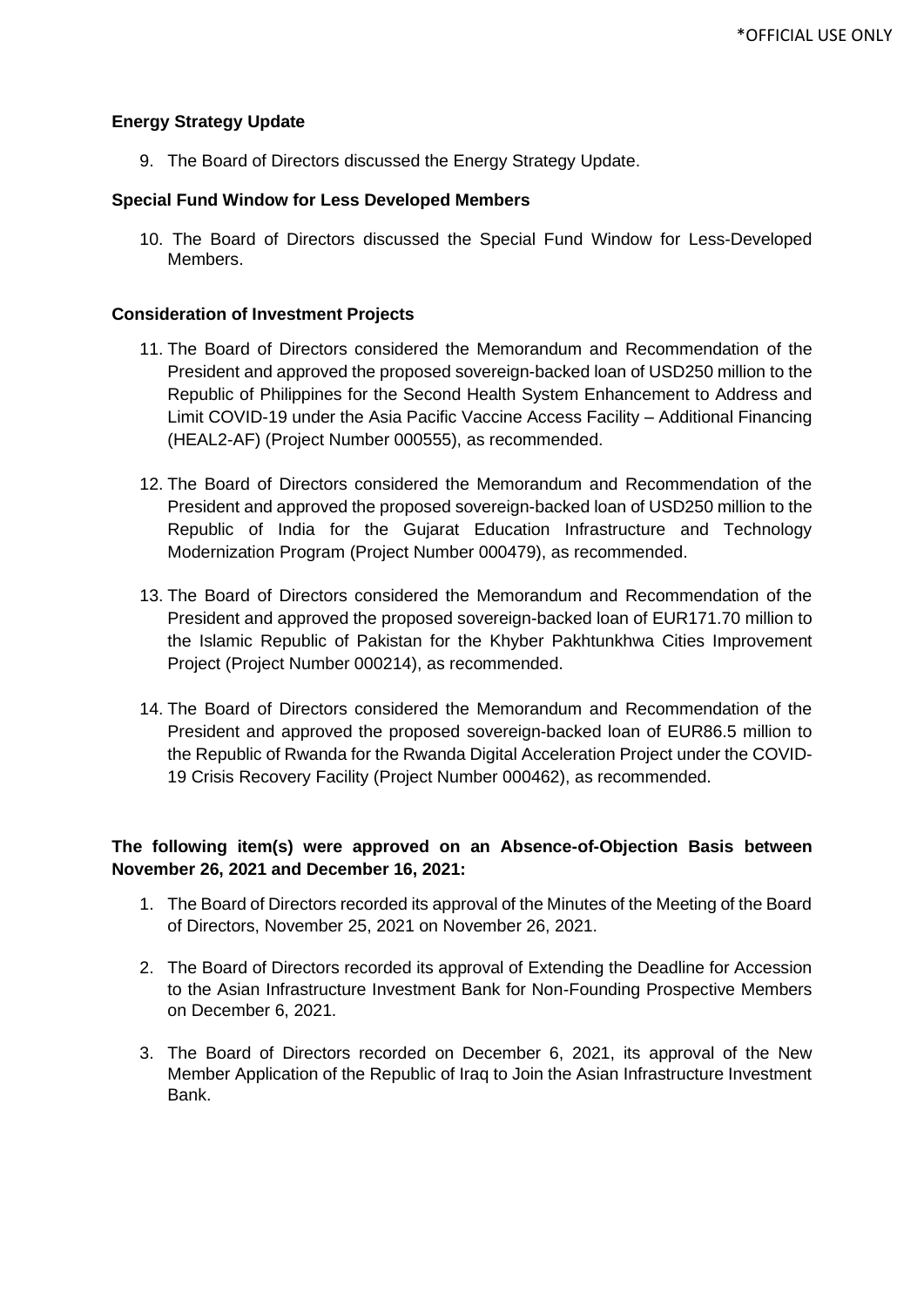### **Energy Strategy Update**

9. The Board of Directors discussed the Energy Strategy Update.

### **Special Fund Window for Less Developed Members**

10. The Board of Directors discussed the Special Fund Window for Less-Developed Members.

### **Consideration of Investment Projects**

- 11. The Board of Directors considered the Memorandum and Recommendation of the President and approved the proposed sovereign-backed loan of USD250 million to the Republic of Philippines for the Second Health System Enhancement to Address and Limit COVID-19 under the Asia Pacific Vaccine Access Facility – Additional Financing (HEAL2-AF) (Project Number 000555), as recommended.
- 12. The Board of Directors considered the Memorandum and Recommendation of the President and approved the proposed sovereign-backed loan of USD250 million to the Republic of India for the Gujarat Education Infrastructure and Technology Modernization Program (Project Number 000479), as recommended.
- 13. The Board of Directors considered the Memorandum and Recommendation of the President and approved the proposed sovereign-backed loan of EUR171.70 million to the Islamic Republic of Pakistan for the Khyber Pakhtunkhwa Cities Improvement Project (Project Number 000214), as recommended.
- 14. The Board of Directors considered the Memorandum and Recommendation of the President and approved the proposed sovereign-backed loan of EUR86.5 million to the Republic of Rwanda for the Rwanda Digital Acceleration Project under the COVID-19 Crisis Recovery Facility (Project Number 000462), as recommended.

## **The following item(s) were approved on an Absence-of-Objection Basis between November 26, 2021 and December 16, 2021:**

- 1. The Board of Directors recorded its approval of the Minutes of the Meeting of the Board of Directors, November 25, 2021 on November 26, 2021.
- 2. The Board of Directors recorded its approval of Extending the Deadline for Accession to the Asian Infrastructure Investment Bank for Non-Founding Prospective Members on December 6, 2021.
- 3. The Board of Directors recorded on December 6, 2021, its approval of the New Member Application of the Republic of Iraq to Join the Asian Infrastructure Investment Bank.